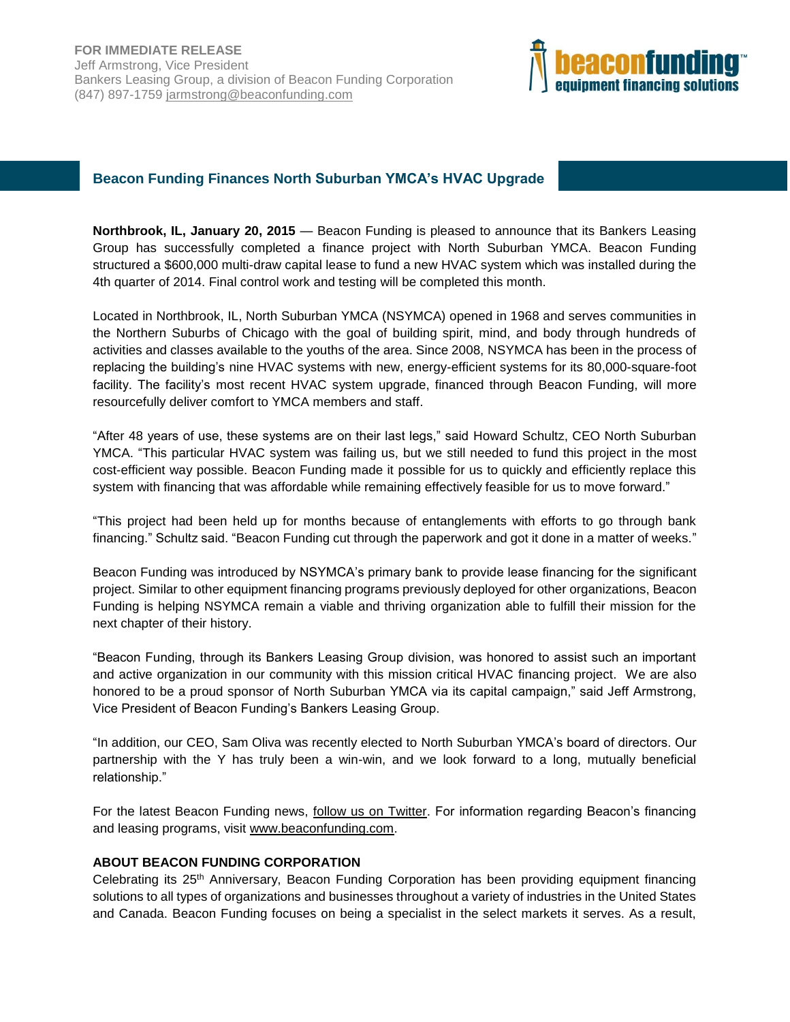

## **Beacon Funding Finances North Suburban YMCA's HVAC Upgrade**

**Northbrook, IL, January 20, 2015** — Beacon Funding is pleased to announce that its Bankers Leasing Group has successfully completed a finance project with North Suburban YMCA. Beacon Funding structured a \$600,000 multi-draw capital lease to fund a new HVAC system which was installed during the 4th quarter of 2014. Final control work and testing will be completed this month.

Located in Northbrook, IL, North Suburban YMCA (NSYMCA) opened in 1968 and serves communities in the Northern Suburbs of Chicago with the goal of building spirit, mind, and body through hundreds of activities and classes available to the youths of the area. Since 2008, NSYMCA has been in the process of replacing the building's nine HVAC systems with new, energy-efficient systems for its 80,000-square-foot facility. The facility's most recent HVAC system upgrade, financed through Beacon Funding, will more resourcefully deliver comfort to YMCA members and staff.

"After 48 years of use, these systems are on their last legs," said Howard Schultz, CEO North Suburban YMCA. "This particular HVAC system was failing us, but we still needed to fund this project in the most cost-efficient way possible. Beacon Funding made it possible for us to quickly and efficiently replace this system with financing that was affordable while remaining effectively feasible for us to move forward."

"This project had been held up for months because of entanglements with efforts to go through bank financing." Schultz said. "Beacon Funding cut through the paperwork and got it done in a matter of weeks."

Beacon Funding was introduced by NSYMCA's primary bank to provide lease financing for the significant project. Similar to other equipment financing programs previously deployed for other organizations, Beacon Funding is helping NSYMCA remain a viable and thriving organization able to fulfill their mission for the next chapter of their history.

"Beacon Funding, through its Bankers Leasing Group division, was honored to assist such an important and active organization in our community with this mission critical HVAC financing project. We are also honored to be a proud sponsor of North Suburban YMCA via its capital campaign," said Jeff Armstrong, Vice President of Beacon Funding's Bankers Leasing Group.

"In addition, our CEO, Sam Oliva was recently elected to North Suburban YMCA's board of directors. Our partnership with the Y has truly been a win-win, and we look forward to a long, mutually beneficial relationship."

For the latest Beacon Funding news, [follow us on Twitter.](https://twitter.com/beaconfunding) For information regarding Beacon's financing and leasing programs, visit [www.beaconfunding.com.](http://www.beaconfunding.com/)

## **ABOUT BEACON FUNDING CORPORATION**

Celebrating its 25th Anniversary, Beacon Funding Corporation has been providing equipment financing solutions to all types of organizations and businesses throughout a variety of industries in the United States and Canada. Beacon Funding focuses on being a specialist in the select markets it serves. As a result,